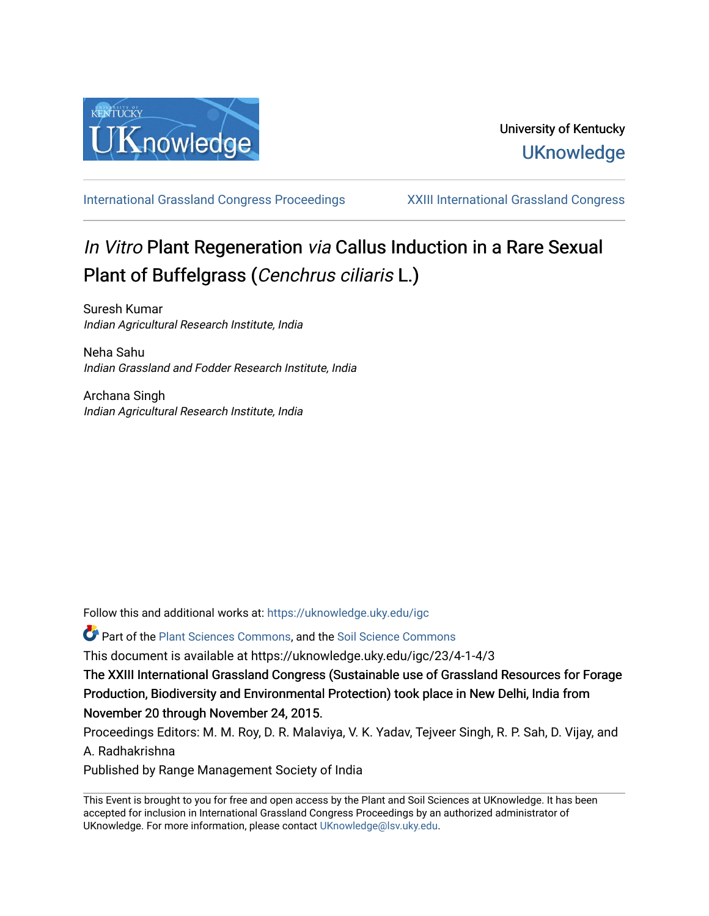

[International Grassland Congress Proceedings](https://uknowledge.uky.edu/igc) [XXIII International Grassland Congress](https://uknowledge.uky.edu/igc/23) 

# In Vitro Plant Regeneration via Callus Induction in a Rare Sexual Plant of Buffelgrass (Cenchrus ciliaris L.)

Suresh Kumar Indian Agricultural Research Institute, India

Neha Sahu Indian Grassland and Fodder Research Institute, India

Archana Singh Indian Agricultural Research Institute, India

Follow this and additional works at: [https://uknowledge.uky.edu/igc](https://uknowledge.uky.edu/igc?utm_source=uknowledge.uky.edu%2Figc%2F23%2F4-1-4%2F3&utm_medium=PDF&utm_campaign=PDFCoverPages) 

Part of the [Plant Sciences Commons](http://network.bepress.com/hgg/discipline/102?utm_source=uknowledge.uky.edu%2Figc%2F23%2F4-1-4%2F3&utm_medium=PDF&utm_campaign=PDFCoverPages), and the [Soil Science Commons](http://network.bepress.com/hgg/discipline/163?utm_source=uknowledge.uky.edu%2Figc%2F23%2F4-1-4%2F3&utm_medium=PDF&utm_campaign=PDFCoverPages) 

This document is available at https://uknowledge.uky.edu/igc/23/4-1-4/3

The XXIII International Grassland Congress (Sustainable use of Grassland Resources for Forage Production, Biodiversity and Environmental Protection) took place in New Delhi, India from November 20 through November 24, 2015.

Proceedings Editors: M. M. Roy, D. R. Malaviya, V. K. Yadav, Tejveer Singh, R. P. Sah, D. Vijay, and A. Radhakrishna

Published by Range Management Society of India

This Event is brought to you for free and open access by the Plant and Soil Sciences at UKnowledge. It has been accepted for inclusion in International Grassland Congress Proceedings by an authorized administrator of UKnowledge. For more information, please contact [UKnowledge@lsv.uky.edu](mailto:UKnowledge@lsv.uky.edu).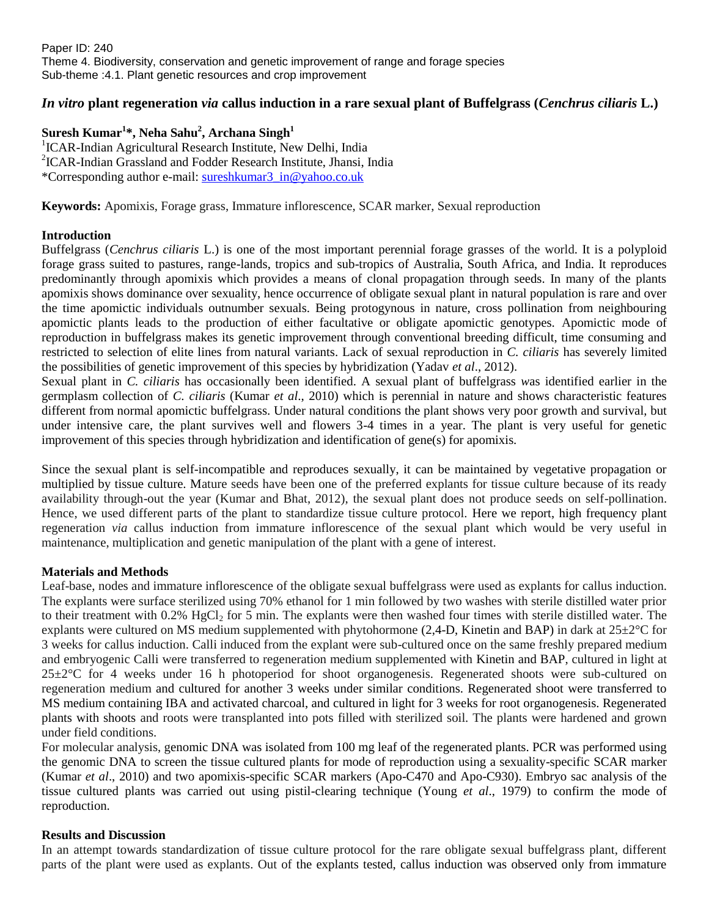## *In vitro* **plant regeneration** *via* **callus induction in a rare sexual plant of Buffelgrass (***Cenchrus ciliaris* **L.)**

### **Suresh Kumar<sup>1</sup> \*, Neha Sahu<sup>2</sup> , Archana Singh<sup>1</sup>**

<sup>1</sup>ICAR-Indian Agricultural Research Institute, New Delhi, India 2 ICAR-Indian Grassland and Fodder Research Institute, Jhansi, India \*Corresponding author e-mail: [sureshkumar3\\_in@yahoo.co.uk](mailto:sureshkumar3_in@yahoo.co.uk)

**Keywords:** Apomixis, Forage grass, Immature inflorescence, SCAR marker, Sexual reproduction

#### **Introduction**

Buffelgrass (*Cenchrus ciliaris* L.) is one of the most important perennial forage grasses of the world. It is a polyploid forage grass suited to pastures, range-lands, tropics and sub-tropics of Australia, South Africa, and India. It reproduces predominantly through apomixis which provides a means of clonal propagation through seeds. In many of the plants apomixis shows dominance over sexuality, hence occurrence of obligate sexual plant in natural population is rare and over the time apomictic individuals outnumber sexuals. Being protogynous in nature, cross pollination from neighbouring apomictic plants leads to the production of either facultative or obligate apomictic genotypes. Apomictic mode of reproduction in buffelgrass makes its genetic improvement through conventional breeding difficult, time consuming and restricted to selection of elite lines from natural variants. Lack of sexual reproduction in *C. ciliaris* has severely limited the possibilities of genetic improvement of this species by hybridization (Yadav *et al*., 2012).

Sexual plant in *C. ciliaris* has occasionally been identified. A sexual plant of buffelgrass *w*as identified earlier in the germplasm collection of *C. ciliaris* (Kumar *et al*., 2010) which is perennial in nature and shows characteristic features different from normal apomictic buffelgrass. Under natural conditions the plant shows very poor growth and survival, but under intensive care, the plant survives well and flowers 3-4 times in a year. The plant is very useful for genetic improvement of this species through hybridization and identification of gene(s) for apomixis.

Since the sexual plant is self-incompatible and reproduces sexually, it can be maintained by vegetative propagation or multiplied by tissue culture. Mature seeds have been one of the preferred explants for tissue culture because of its ready availability through-out the year (Kumar and Bhat, 2012), the sexual plant does not produce seeds on self-pollination. Hence, we used different parts of the plant to standardize tissue culture protocol. Here we report, high frequency plant regeneration *via* callus induction from immature inflorescence of the sexual plant which would be very useful in maintenance, multiplication and genetic manipulation of the plant with a gene of interest.

#### **Materials and Methods**

Leaf-base, nodes and immature inflorescence of the obligate sexual buffelgrass were used as explants for callus induction. The explants were surface sterilized using 70% ethanol for 1 min followed by two washes with sterile distilled water prior to their treatment with 0.2% HgCl<sub>2</sub> for 5 min. The explants were then washed four times with sterile distilled water. The explants were cultured on MS medium supplemented with phytohormone (2,4-D, Kinetin and BAP) in dark at 25±2°C for 3 weeks for callus induction. Calli induced from the explant were sub-cultured once on the same freshly prepared medium and embryogenic Calli were transferred to regeneration medium supplemented with Kinetin and BAP, cultured in light at  $25\pm2^{\circ}$ C for 4 weeks under 16 h photoperiod for shoot organogenesis. Regenerated shoots were sub-cultured on regeneration medium and cultured for another 3 weeks under similar conditions. Regenerated shoot were transferred to MS medium containing IBA and activated charcoal, and cultured in light for 3 weeks for root organogenesis. Regenerated plants with shoots and roots were transplanted into pots filled with sterilized soil. The plants were hardened and grown under field conditions.

For molecular analysis, genomic DNA was isolated from 100 mg leaf of the regenerated plants. PCR was performed using the genomic DNA to screen the tissue cultured plants for mode of reproduction using a sexuality-specific SCAR marker (Kumar *et al*., 2010) and two apomixis-specific SCAR markers (Apo-C470 and Apo-C930). Embryo sac analysis of the tissue cultured plants was carried out using pistil-clearing technique (Young *et al*., 1979) to confirm the mode of reproduction.

#### **Results and Discussion**

In an attempt towards standardization of tissue culture protocol for the rare obligate sexual buffelgrass plant, different parts of the plant were used as explants. Out of the explants tested, callus induction was observed only from immature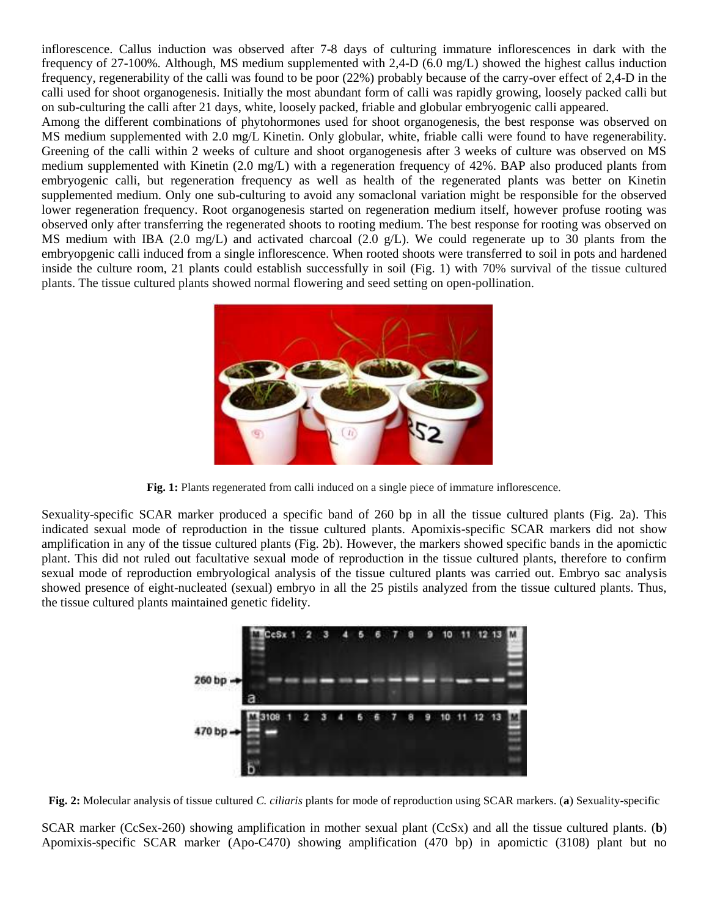inflorescence. Callus induction was observed after 7-8 days of culturing immature inflorescences in dark with the frequency of 27-100%*.* Although, MS medium supplemented with 2,4-D (6.0 mg/L) showed the highest callus induction frequency, regenerability of the calli was found to be poor (22%) probably because of the carry-over effect of 2,4-D in the calli used for shoot organogenesis. Initially the most abundant form of calli was rapidly growing, loosely packed calli but on sub-culturing the calli after 21 days, white, loosely packed, friable and globular embryogenic calli appeared.

Among the different combinations of phytohormones used for shoot organogenesis, the best response was observed on MS medium supplemented with 2.0 mg/L Kinetin. Only globular, white, friable calli were found to have regenerability. Greening of the calli within 2 weeks of culture and shoot organogenesis after 3 weeks of culture was observed on MS medium supplemented with Kinetin (2.0 mg/L) with a regeneration frequency of 42%. BAP also produced plants from embryogenic calli, but regeneration frequency as well as health of the regenerated plants was better on Kinetin supplemented medium. Only one sub-culturing to avoid any somaclonal variation might be responsible for the observed lower regeneration frequency. Root organogenesis started on regeneration medium itself, however profuse rooting was observed only after transferring the regenerated shoots to rooting medium. The best response for rooting was observed on MS medium with IBA (2.0 mg/L) and activated charcoal (2.0 g/L). We could regenerate up to 30 plants from the embryopgenic calli induced from a single inflorescence. When rooted shoots were transferred to soil in pots and hardened inside the culture room, 21 plants could establish successfully in soil (Fig. 1) with 70% survival of the tissue cultured plants. The tissue cultured plants showed normal flowering and seed setting on open-pollination.



**Fig. 1:** Plants regenerated from calli induced on a single piece of immature inflorescence.

Sexuality-specific SCAR marker produced a specific band of 260 bp in all the tissue cultured plants (Fig. 2a). This indicated sexual mode of reproduction in the tissue cultured plants. Apomixis-specific SCAR markers did not show amplification in any of the tissue cultured plants (Fig. 2b). However, the markers showed specific bands in the apomictic plant. This did not ruled out facultative sexual mode of reproduction in the tissue cultured plants, therefore to confirm sexual mode of reproduction embryological analysis of the tissue cultured plants was carried out. Embryo sac analysis showed presence of eight-nucleated (sexual) embryo in all the 25 pistils analyzed from the tissue cultured plants. Thus, the tissue cultured plants maintained genetic fidelity.



**Fig. 2:** Molecular analysis of tissue cultured *C. ciliaris* plants for mode of reproduction using SCAR markers. (**a**) Sexuality-specific

SCAR marker (CcSex-260) showing amplification in mother sexual plant (CcSx) and all the tissue cultured plants. (**b**) Apomixis-specific SCAR marker (Apo-C470) showing amplification (470 bp) in apomictic (3108) plant but no